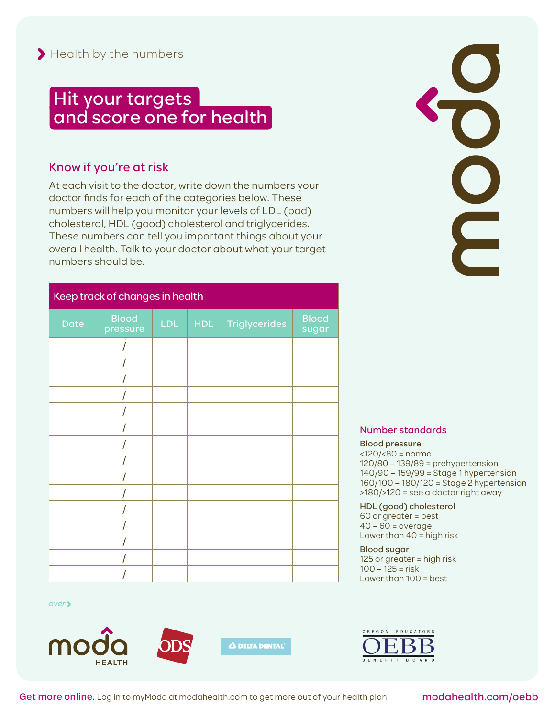# Hit your targets and score one for health

### Know if you're at risk

At each visit to the doctor, write down the numbers your doctor finds for each of the categories below. These numbers will help you monitor your levels of LDL (bad) cholesterol, HDL (good) cholesterol and triglycerides. These numbers can tell you important things about your overall health. Talk to your doctor about what your target numbers should be.

| Keep track of changes in health |                          |     |     |                      |                       |  |
|---------------------------------|--------------------------|-----|-----|----------------------|-----------------------|--|
| <b>Date</b>                     | <b>Blood</b><br>pressure | LDL | HDL | <b>Triglycerides</b> | <b>Blood</b><br>sugar |  |
|                                 |                          |     |     |                      |                       |  |
|                                 |                          |     |     |                      |                       |  |
|                                 |                          |     |     |                      |                       |  |
|                                 |                          |     |     |                      |                       |  |
|                                 |                          |     |     |                      |                       |  |
|                                 |                          |     |     |                      |                       |  |
|                                 |                          |     |     |                      |                       |  |
|                                 |                          |     |     |                      |                       |  |
|                                 |                          |     |     |                      |                       |  |
|                                 |                          |     |     |                      |                       |  |
|                                 |                          |     |     |                      |                       |  |
|                                 |                          |     |     |                      |                       |  |
|                                 |                          |     |     |                      |                       |  |
|                                 |                          |     |     |                      |                       |  |
|                                 |                          |     |     |                      |                       |  |

*over*





### Number standards

Blood pressure  $<$ 120/ $<$ 80 = normal 120/80 – 139/89 = prehypertension 140/90 – 159/99 = Stage 1 hypertension 160/100 – 180/120 = Stage 2 hypertension >180/>120 = see a doctor right away

HDL (good) cholesterol 60 or greater = best 40 – 60 = average Lower than  $40 =$  high risk

Blood sugar 125 or greater = high risk  $100 - 125 =$ risk Lower than 100 = best



Get more online. Log in to myModa at modahealth.com to get more out of your health plan. modahealth.com/oebb